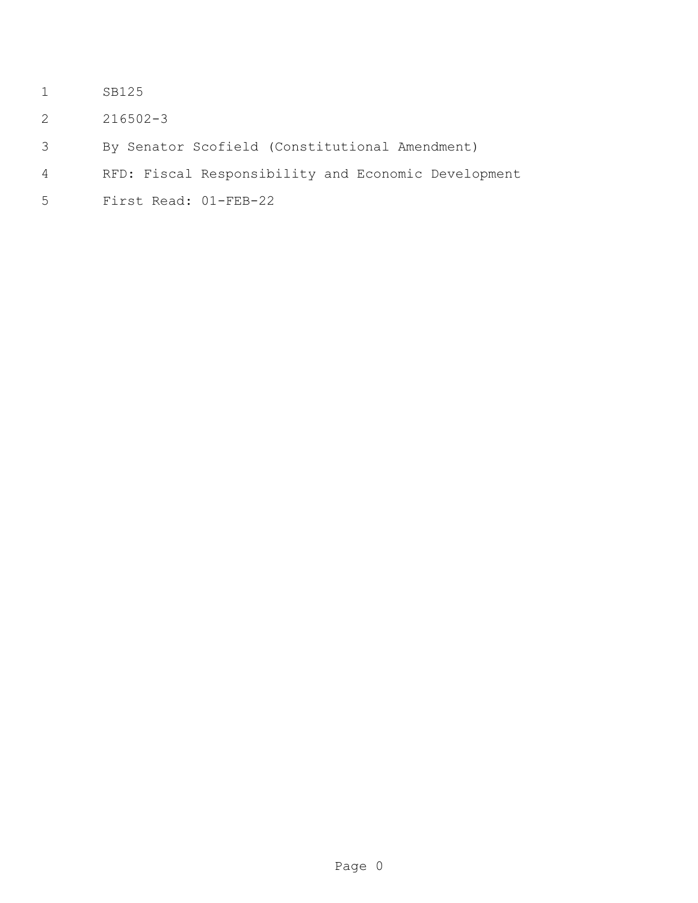- SB125
- 216502-3
- By Senator Scofield (Constitutional Amendment)
- RFD: Fiscal Responsibility and Economic Development
- First Read: 01-FEB-22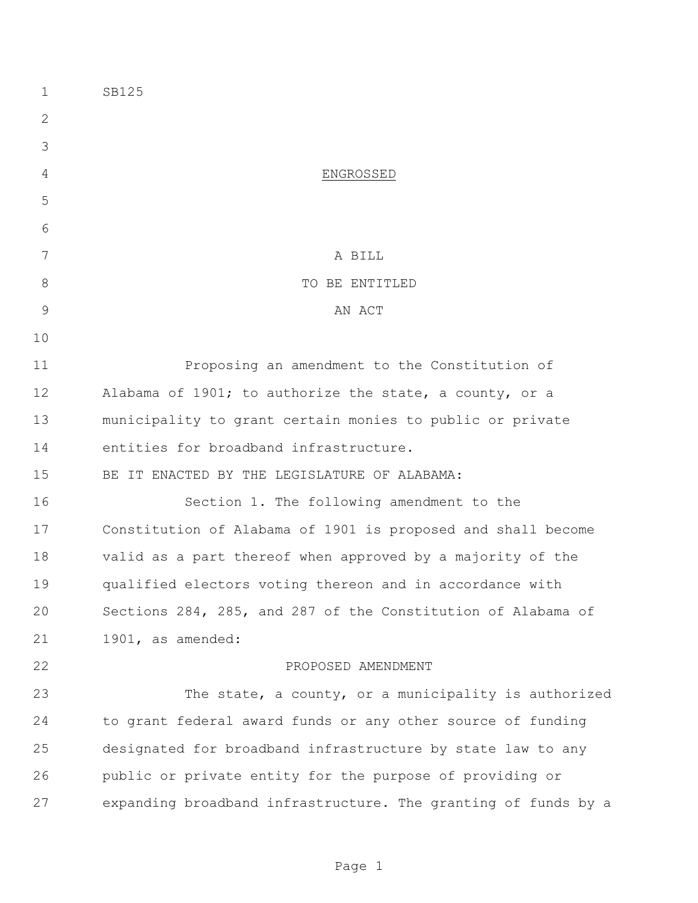| $\mathbf 1$    | SB125                                                          |
|----------------|----------------------------------------------------------------|
| 2              |                                                                |
| 3              |                                                                |
| 4              | ENGROSSED                                                      |
| 5              |                                                                |
| 6              |                                                                |
| 7              | A BILL                                                         |
| $8\,$          | TO BE ENTITLED                                                 |
| $\overline{9}$ | AN ACT                                                         |
| 10             |                                                                |
| 11             | Proposing an amendment to the Constitution of                  |
| 12             | Alabama of 1901; to authorize the state, a county, or a        |
| 13             | municipality to grant certain monies to public or private      |
| 14             | entities for broadband infrastructure.                         |
| 15             | BE IT ENACTED BY THE LEGISLATURE OF ALABAMA:                   |
| 16             | Section 1. The following amendment to the                      |
| 17             | Constitution of Alabama of 1901 is proposed and shall become   |
| 18             | valid as a part thereof when approved by a majority of the     |
| 19             | qualified electors voting thereon and in accordance with       |
| 20             | Sections 284, 285, and 287 of the Constitution of Alabama of   |
| 21             | 1901, as amended:                                              |
| 22             | PROPOSED AMENDMENT                                             |
| 23             | The state, a county, or a municipality is authorized           |
| 24             | to grant federal award funds or any other source of funding    |
| 25             | designated for broadband infrastructure by state law to any    |
| 26             | public or private entity for the purpose of providing or       |
| 27             | expanding broadband infrastructure. The granting of funds by a |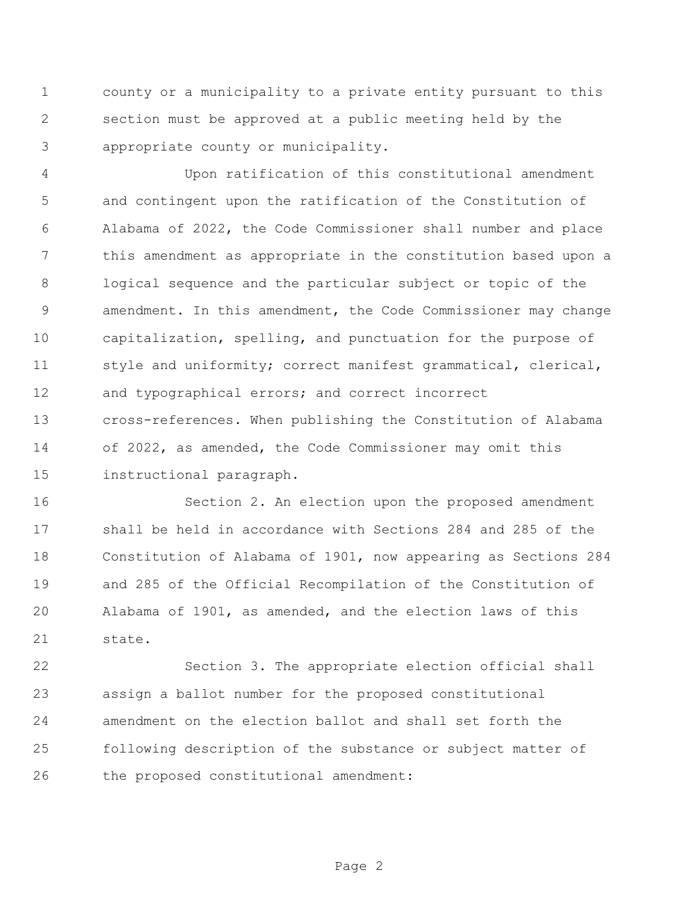county or a municipality to a private entity pursuant to this section must be approved at a public meeting held by the appropriate county or municipality.

 Upon ratification of this constitutional amendment and contingent upon the ratification of the Constitution of Alabama of 2022, the Code Commissioner shall number and place this amendment as appropriate in the constitution based upon a logical sequence and the particular subject or topic of the amendment. In this amendment, the Code Commissioner may change capitalization, spelling, and punctuation for the purpose of style and uniformity; correct manifest grammatical, clerical, and typographical errors; and correct incorrect cross-references. When publishing the Constitution of Alabama of 2022, as amended, the Code Commissioner may omit this instructional paragraph.

 Section 2. An election upon the proposed amendment shall be held in accordance with Sections 284 and 285 of the Constitution of Alabama of 1901, now appearing as Sections 284 and 285 of the Official Recompilation of the Constitution of Alabama of 1901, as amended, and the election laws of this state.

 Section 3. The appropriate election official shall assign a ballot number for the proposed constitutional amendment on the election ballot and shall set forth the following description of the substance or subject matter of the proposed constitutional amendment: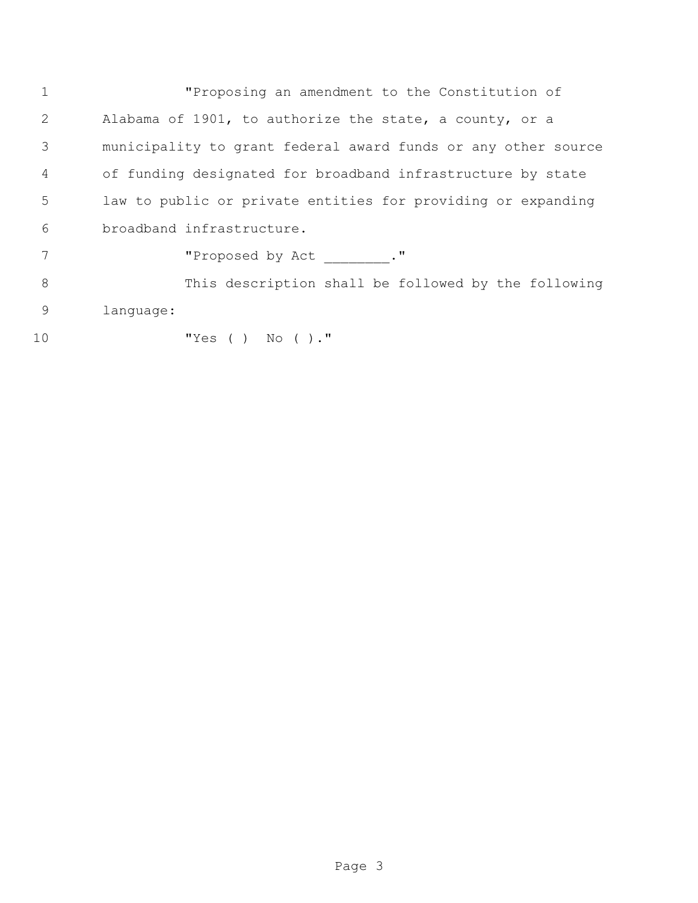"Proposing an amendment to the Constitution of Alabama of 1901, to authorize the state, a county, or a municipality to grant federal award funds or any other source of funding designated for broadband infrastructure by state law to public or private entities for providing or expanding broadband infrastructure.

7 The Proposed by Act \_\_\_\_\_\_\_. "

 This description shall be followed by the following language:

"Yes ( ) No ( )."

Page 3